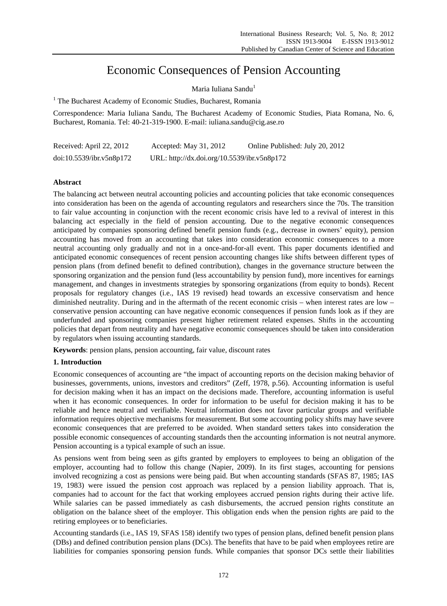# Economic Consequences of Pension Accounting

Maria Iuliana Sandu<sup>1</sup>

<sup>1</sup> The Bucharest Academy of Economic Studies, Bucharest, Romania

Correspondence: Maria Iuliana Sandu, The Bucharest Academy of Economic Studies, Piata Romana, No. 6, Bucharest, Romania. Tel: 40-21-319-1900. E-mail: iuliana.sandu@cig.ase.ro

| Received: April 22, 2012 | Accepted: May 31, 2012                      | Online Published: July 20, 2012 |
|--------------------------|---------------------------------------------|---------------------------------|
| doi:10.5539/ibr.v5n8p172 | URL: http://dx.doi.org/10.5539/ibr.v5n8p172 |                                 |

# **Abstract**

The balancing act between neutral accounting policies and accounting policies that take economic consequences into consideration has been on the agenda of accounting regulators and researchers since the 70s. The transition to fair value accounting in conjunction with the recent economic crisis have led to a revival of interest in this balancing act especially in the field of pension accounting. Due to the negative economic consequences anticipated by companies sponsoring defined benefit pension funds (e.g., decrease in owners' equity), pension accounting has moved from an accounting that takes into consideration economic consequences to a more neutral accounting only gradually and not in a once-and-for-all event. This paper documents identified and anticipated economic consequences of recent pension accounting changes like shifts between different types of pension plans (from defined benefit to defined contribution), changes in the governance structure between the sponsoring organization and the pension fund (less accountability by pension fund), more incentives for earnings management, and changes in investments strategies by sponsoring organizations (from equity to bonds). Recent proposals for regulatory changes (i.e., IAS 19 revised) head towards an excessive conservatism and hence diminished neutrality. During and in the aftermath of the recent economic crisis – when interest rates are low – conservative pension accounting can have negative economic consequences if pension funds look as if they are underfunded and sponsoring companies present higher retirement related expenses. Shifts in the accounting policies that depart from neutrality and have negative economic consequences should be taken into consideration by regulators when issuing accounting standards.

**Keywords**: pension plans, pension accounting, fair value, discount rates

# **1. Introduction**

Economic consequences of accounting are "the impact of accounting reports on the decision making behavior of businesses, governments, unions, investors and creditors" (Zeff, 1978, p.56). Accounting information is useful for decision making when it has an impact on the decisions made. Therefore, accounting information is useful when it has economic consequences. In order for information to be useful for decision making it has to be reliable and hence neutral and verifiable. Neutral information does not favor particular groups and verifiable information requires objective mechanisms for measurement. But some accounting policy shifts may have severe economic consequences that are preferred to be avoided. When standard setters takes into consideration the possible economic consequences of accounting standards then the accounting information is not neutral anymore. Pension accounting is a typical example of such an issue.

As pensions went from being seen as gifts granted by employers to employees to being an obligation of the employer, accounting had to follow this change (Napier, 2009). In its first stages, accounting for pensions involved recognizing a cost as pensions were being paid. But when accounting standards (SFAS 87, 1985; IAS 19, 1983) were issued the pension cost approach was replaced by a pension liability approach. That is, companies had to account for the fact that working employees accrued pension rights during their active life. While salaries can be passed immediately as cash disbursements, the accrued pension rights constitute an obligation on the balance sheet of the employer. This obligation ends when the pension rights are paid to the retiring employees or to beneficiaries.

Accounting standards (i.e., IAS 19, SFAS 158) identify two types of pension plans, defined benefit pension plans (DBs) and defined contribution pension plans (DCs). The benefits that have to be paid when employees retire are liabilities for companies sponsoring pension funds. While companies that sponsor DCs settle their liabilities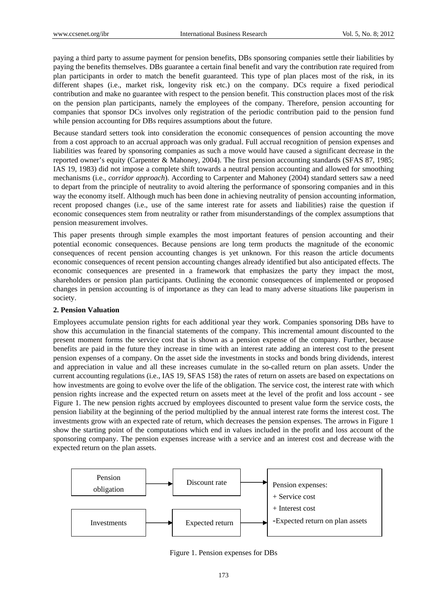paying a third party to assume payment for pension benefits, DBs sponsoring companies settle their liabilities by paying the benefits themselves. DBs guarantee a certain final benefit and vary the contribution rate required from plan participants in order to match the benefit guaranteed. This type of plan places most of the risk, in its different shapes (i.e., market risk, longevity risk etc.) on the company. DCs require a fixed periodical contribution and make no guarantee with respect to the pension benefit. This construction places most of the risk on the pension plan participants, namely the employees of the company. Therefore, pension accounting for companies that sponsor DCs involves only registration of the periodic contribution paid to the pension fund while pension accounting for DBs requires assumptions about the future.

Because standard setters took into consideration the economic consequences of pension accounting the move from a cost approach to an accrual approach was only gradual. Full accrual recognition of pension expenses and liabilities was feared by sponsoring companies as such a move would have caused a significant decrease in the reported owner's equity (Carpenter & Mahoney, 2004). The first pension accounting standards (SFAS 87, 1985; IAS 19, 1983) did not impose a complete shift towards a neutral pension accounting and allowed for smoothing mechanisms (i.e., *corridor approach*). According to Carpenter and Mahoney (2004) standard setters saw a need to depart from the principle of neutrality to avoid altering the performance of sponsoring companies and in this way the economy itself. Although much has been done in achieving neutrality of pension accounting information, recent proposed changes (i.e., use of the same interest rate for assets and liabilities) raise the question if economic consequences stem from neutrality or rather from misunderstandings of the complex assumptions that pension measurement involves.

This paper presents through simple examples the most important features of pension accounting and their potential economic consequences. Because pensions are long term products the magnitude of the economic consequences of recent pension accounting changes is yet unknown. For this reason the article documents economic consequences of recent pension accounting changes already identified but also anticipated effects. The economic consequences are presented in a framework that emphasizes the party they impact the most, shareholders or pension plan participants. Outlining the economic consequences of implemented or proposed changes in pension accounting is of importance as they can lead to many adverse situations like pauperism in society.

# **2. Pension Valuation**

Employees accumulate pension rights for each additional year they work. Companies sponsoring DBs have to show this accumulation in the financial statements of the company. This incremental amount discounted to the present moment forms the service cost that is shown as a pension expense of the company. Further, because benefits are paid in the future they increase in time with an interest rate adding an interest cost to the present pension expenses of a company. On the asset side the investments in stocks and bonds bring dividends, interest and appreciation in value and all these increases cumulate in the so-called return on plan assets. Under the current accounting regulations (i.e., IAS 19, SFAS 158) the rates of return on assets are based on expectations on how investments are going to evolve over the life of the obligation. The service cost, the interest rate with which pension rights increase and the expected return on assets meet at the level of the profit and loss account - see Figure 1. The new pension rights accrued by employees discounted to present value form the service costs, the pension liability at the beginning of the period multiplied by the annual interest rate forms the interest cost. The investments grow with an expected rate of return, which decreases the pension expenses. The arrows in Figure 1 show the starting point of the computations which end in values included in the profit and loss account of the sponsoring company. The pension expenses increase with a service and an interest cost and decrease with the expected return on the plan assets.



Figure 1. Pension expenses for DBs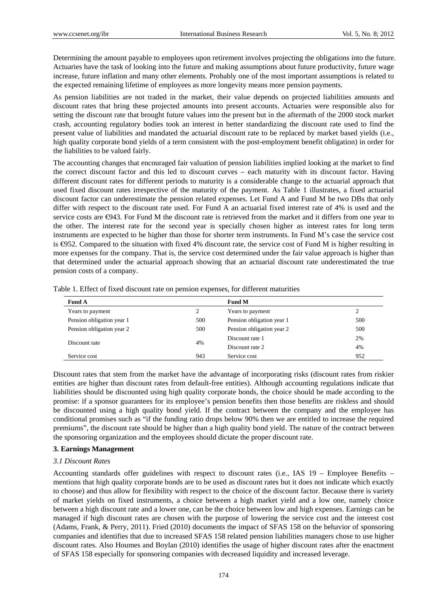Determining the amount payable to employees upon retirement involves projecting the obligations into the future. Actuaries have the task of looking into the future and making assumptions about future productivity, future wage increase, future inflation and many other elements. Probably one of the most important assumptions is related to the expected remaining lifetime of employees as more longevity means more pension payments.

As pension liabilities are not traded in the market, their value depends on projected liabilities amounts and discount rates that bring these projected amounts into present accounts. Actuaries were responsible also for setting the discount rate that brought future values into the present but in the aftermath of the 2000 stock market crash, accounting regulatory bodies took an interest in better standardizing the discount rate used to find the present value of liabilities and mandated the actuarial discount rate to be replaced by market based yields (i.e., high quality corporate bond yields of a term consistent with the post-employment benefit obligation) in order for the liabilities to be valued fairly.

The accounting changes that encouraged fair valuation of pension liabilities implied looking at the market to find the correct discount factor and this led to discount curves – each maturity with its discount factor. Having different discount rates for different periods to maturity is a considerable change to the actuarial approach that used fixed discount rates irrespective of the maturity of the payment. As Table 1 illustrates, a fixed actuarial discount factor can underestimate the pension related expenses. Let Fund A and Fund M be two DBs that only differ with respect to the discount rate used. For Fund A an actuarial fixed interest rate of 4% is used and the service costs are  $\Theta$ 43. For Fund M the discount rate is retrieved from the market and it differs from one year to the other. The interest rate for the second year is specially chosen higher as interest rates for long term instruments are expected to be higher than those for shorter term instruments. In Fund M's case the service cost is €952. Compared to the situation with fixed 4% discount rate, the service cost of Fund M is higher resulting in more expenses for the company. That is, the service cost determined under the fair value approach is higher than that determined under the actuarial approach showing that an actuarial discount rate underestimated the true pension costs of a company.

| <b>Fund A</b>             |               | <b>Fund M</b>             |     |
|---------------------------|---------------|---------------------------|-----|
| Years to payment          | $\mathcal{L}$ | Years to payment          | ↑   |
| Pension obligation year 1 | 500           | Pension obligation year 1 | 500 |
| Pension obligation year 2 | 500           | Pension obligation year 2 | 500 |
| Discount rate             | 4%            | Discount rate 1           | 2%  |
|                           |               | Discount rate 2           | 4%  |
| Service cost              | 943           | Service cost              | 952 |

Table 1. Effect of fixed discount rate on pension expenses, for different maturities

Discount rates that stem from the market have the advantage of incorporating risks (discount rates from riskier entities are higher than discount rates from default-free entities). Although accounting regulations indicate that liabilities should be discounted using high quality corporate bonds, the choice should be made according to the promise: if a sponsor guarantees for its employee's pension benefits then those benefits are riskless and should be discounted using a high quality bond yield. If the contract between the company and the employee has conditional promises such as "if the funding ratio drops below 90% then we are entitled to increase the required premiums", the discount rate should be higher than a high quality bond yield. The nature of the contract between the sponsoring organization and the employees should dictate the proper discount rate.

#### **3. Earnings Management**

#### *3.1 Discount Rates*

Accounting standards offer guidelines with respect to discount rates (i.e., IAS 19 – Employee Benefits – mentions that high quality corporate bonds are to be used as discount rates but it does not indicate which exactly to choose) and thus allow for flexibility with respect to the choice of the discount factor. Because there is variety of market yields on fixed instruments, a choice between a high market yield and a low one, namely choice between a high discount rate and a lower one, can be the choice between low and high expenses. Earnings can be managed if high discount rates are chosen with the purpose of lowering the service cost and the interest cost (Adams, Frank, & Perry, 2011). Fried (2010) documents the impact of SFAS 158 on the behavior of sponsoring companies and identifies that due to increased SFAS 158 related pension liabilities managers chose to use higher discount rates. Also Houmes and Boylan (2010) identifies the usage of higher discount rates after the enactment of SFAS 158 especially for sponsoring companies with decreased liquidity and increased leverage.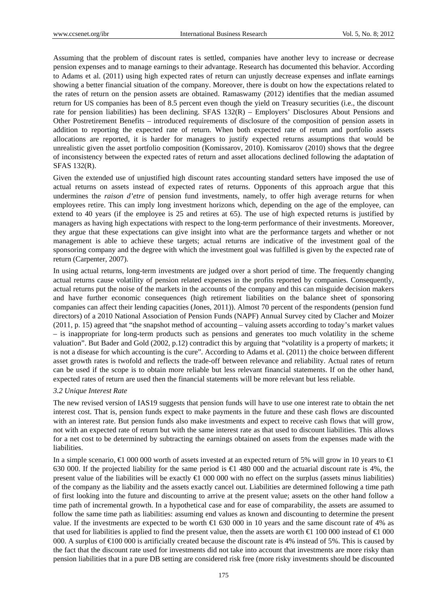Assuming that the problem of discount rates is settled, companies have another levy to increase or decrease pension expenses and to manage earnings to their advantage. Research has documented this behavior. According to Adams et al. (2011) using high expected rates of return can unjustly decrease expenses and inflate earnings showing a better financial situation of the company. Moreover, there is doubt on how the expectations related to the rates of return on the pension assets are obtained. Ramaswamy (2012) identifies that the median assumed return for US companies has been of 8.5 percent even though the yield on Treasury securities (i.e., the discount rate for pension liabilities) has been declining. SFAS 132(R) – Employers' Disclosures About Pensions and Other Postretirement Benefits – introduced requirements of disclosure of the composition of pension assets in addition to reporting the expected rate of return. When both expected rate of return and portfolio assets allocations are reported, it is harder for managers to justify expected returns assumptions that would be unrealistic given the asset portfolio composition (Komissarov, 2010). Komissarov (2010) shows that the degree of inconsistency between the expected rates of return and asset allocations declined following the adaptation of SFAS 132(R).

Given the extended use of unjustified high discount rates accounting standard setters have imposed the use of actual returns on assets instead of expected rates of returns. Opponents of this approach argue that this undermines the *raison d'etre* of pension fund investments, namely, to offer high average returns for when employees retire. This can imply long investment horizons which, depending on the age of the employee, can extend to 40 years (if the employee is 25 and retires at 65). The use of high expected returns is justified by managers as having high expectations with respect to the long-term performance of their investments. Moreover, they argue that these expectations can give insight into what are the performance targets and whether or not management is able to achieve these targets; actual returns are indicative of the investment goal of the sponsoring company and the degree with which the investment goal was fulfilled is given by the expected rate of return (Carpenter, 2007).

In using actual returns, long-term investments are judged over a short period of time. The frequently changing actual returns cause volatility of pension related expenses in the profits reported by companies. Consequently, actual returns put the noise of the markets in the accounts of the company and this can misguide decision makers and have further economic consequences (high retirement liabilities on the balance sheet of sponsoring companies can affect their lending capacities (Jones, 2011)). Almost 70 percent of the respondents (pension fund directors) of a 2010 National Association of Pension Funds (NAPF) Annual Survey cited by Clacher and Moizer (2011, p. 15) agreed that "the snapshot method of accounting – valuing assets according to today's market values – is inappropriate for long-term products such as pensions and generates too much volatility in the scheme valuation". But Bader and Gold (2002, p.12) contradict this by arguing that "volatility is a property of markets; it is not a disease for which accounting is the cure". According to Adams et al. (2011) the choice between different asset growth rates is twofold and reflects the trade-off between relevance and reliability. Actual rates of return can be used if the scope is to obtain more reliable but less relevant financial statements. If on the other hand, expected rates of return are used then the financial statements will be more relevant but less reliable.

# *3.2 Unique Interest Rate*

The new revised version of IAS19 suggests that pension funds will have to use one interest rate to obtain the net interest cost. That is, pension funds expect to make payments in the future and these cash flows are discounted with an interest rate. But pension funds also make investments and expect to receive cash flows that will grow, not with an expected rate of return but with the same interest rate as that used to discount liabilities. This allows for a net cost to be determined by subtracting the earnings obtained on assets from the expenses made with the liabilities.

In a simple scenario,  $\bigoplus$  000 000 worth of assets invested at an expected return of 5% will grow in 10 years to  $\bigoplus$ 630 000. If the projected liability for the same period is  $\in$ 1 480 000 and the actuarial discount rate is 4%, the present value of the liabilities will be exactly  $\in$ 1 000 000 with no effect on the surplus (assets minus liabilities) of the company as the liability and the assets exactly cancel out. Liabilities are determined following a time path of first looking into the future and discounting to arrive at the present value; assets on the other hand follow a time path of incremental growth. In a hypothetical case and for ease of comparability, the assets are assumed to follow the same time path as liabilities: assuming end values as known and discounting to determine the present value. If the investments are expected to be worth  $\bigoplus$  630 000 in 10 years and the same discount rate of 4% as that used for liabilities is applied to find the present value, then the assets are worth  $\trianglelefteq 100\,000$  instead of  $\trianglelefteq 000$ 000. A surplus of €100 000 is artificially created because the discount rate is 4% instead of 5%. This is caused by the fact that the discount rate used for investments did not take into account that investments are more risky than pension liabilities that in a pure DB setting are considered risk free (more risky investments should be discounted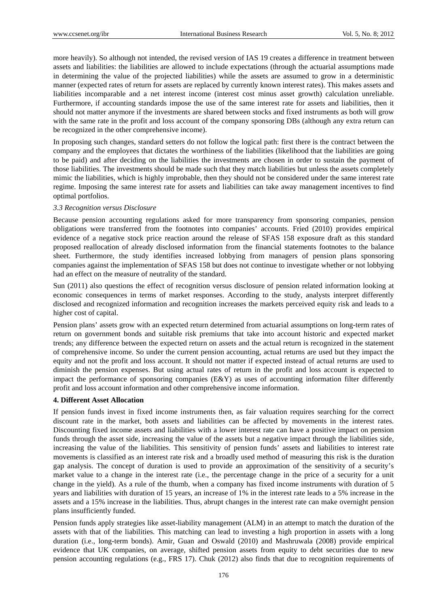more heavily). So although not intended, the revised version of IAS 19 creates a difference in treatment between assets and liabilities: the liabilities are allowed to include expectations (through the actuarial assumptions made in determining the value of the projected liabilities) while the assets are assumed to grow in a deterministic manner (expected rates of return for assets are replaced by currently known interest rates). This makes assets and liabilities incomparable and a net interest income (interest cost minus asset growth) calculation unreliable. Furthermore, if accounting standards impose the use of the same interest rate for assets and liabilities, then it should not matter anymore if the investments are shared between stocks and fixed instruments as both will grow with the same rate in the profit and loss account of the company sponsoring DBs (although any extra return can be recognized in the other comprehensive income).

In proposing such changes, standard setters do not follow the logical path: first there is the contract between the company and the employees that dictates the worthiness of the liabilities (likelihood that the liabilities are going to be paid) and after deciding on the liabilities the investments are chosen in order to sustain the payment of those liabilities. The investments should be made such that they match liabilities but unless the assets completely mimic the liabilities, which is highly improbable, then they should not be considered under the same interest rate regime. Imposing the same interest rate for assets and liabilities can take away management incentives to find optimal portfolios.

# *3.3 Recognition versus Disclosure*

Because pension accounting regulations asked for more transparency from sponsoring companies, pension obligations were transferred from the footnotes into companies' accounts. Fried (2010) provides empirical evidence of a negative stock price reaction around the release of SFAS 158 exposure draft as this standard proposed reallocation of already disclosed information from the financial statements footnotes to the balance sheet. Furthermore, the study identifies increased lobbying from managers of pension plans sponsoring companies against the implementation of SFAS 158 but does not continue to investigate whether or not lobbying had an effect on the measure of neutrality of the standard.

Sun (2011) also questions the effect of recognition versus disclosure of pension related information looking at economic consequences in terms of market responses. According to the study, analysts interpret differently disclosed and recognized information and recognition increases the markets perceived equity risk and leads to a higher cost of capital.

Pension plans' assets grow with an expected return determined from actuarial assumptions on long-term rates of return on government bonds and suitable risk premiums that take into account historic and expected market trends; any difference between the expected return on assets and the actual return is recognized in the statement of comprehensive income. So under the current pension accounting, actual returns are used but they impact the equity and not the profit and loss account. It should not matter if expected instead of actual returns are used to diminish the pension expenses. But using actual rates of return in the profit and loss account is expected to impact the performance of sponsoring companies (E&Y) as uses of accounting information filter differently profit and loss account information and other comprehensive income information.

# **4. Different Asset Allocation**

If pension funds invest in fixed income instruments then, as fair valuation requires searching for the correct discount rate in the market, both assets and liabilities can be affected by movements in the interest rates. Discounting fixed income assets and liabilities with a lower interest rate can have a positive impact on pension funds through the asset side, increasing the value of the assets but a negative impact through the liabilities side, increasing the value of the liabilities. This sensitivity of pension funds' assets and liabilities to interest rate movements is classified as an interest rate risk and a broadly used method of measuring this risk is the duration gap analysis. The concept of duration is used to provide an approximation of the sensitivity of a security's market value to a change in the interest rate (i.e., the percentage change in the price of a security for a unit change in the yield). As a rule of the thumb, when a company has fixed income instruments with duration of 5 years and liabilities with duration of 15 years, an increase of 1% in the interest rate leads to a 5% increase in the assets and a 15% increase in the liabilities. Thus, abrupt changes in the interest rate can make overnight pension plans insufficiently funded.

Pension funds apply strategies like asset-liability management (ALM) in an attempt to match the duration of the assets with that of the liabilities. This matching can lead to investing a high proportion in assets with a long duration (i.e., long-term bonds). Amir, Guan and Oswald (2010) and Mashruwala (2008) provide empirical evidence that UK companies, on average, shifted pension assets from equity to debt securities due to new pension accounting regulations (e.g., FRS 17). Chuk (2012) also finds that due to recognition requirements of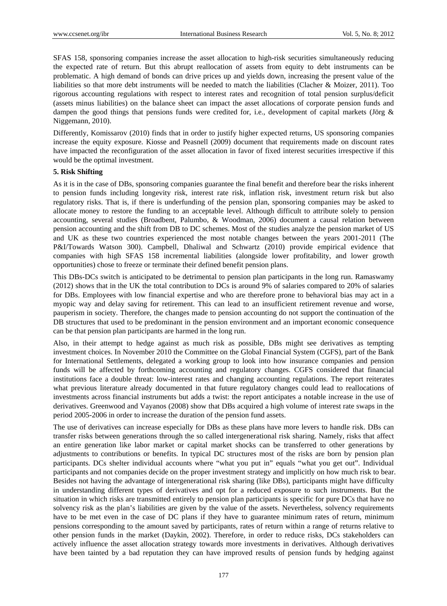SFAS 158, sponsoring companies increase the asset allocation to high-risk securities simultaneously reducing the expected rate of return. But this abrupt reallocation of assets from equity to debt instruments can be problematic. A high demand of bonds can drive prices up and yields down, increasing the present value of the liabilities so that more debt instruments will be needed to match the liabilities (Clacher & Moizer, 2011). Too rigorous accounting regulations with respect to interest rates and recognition of total pension surplus/deficit (assets minus liabilities) on the balance sheet can impact the asset allocations of corporate pension funds and dampen the good things that pensions funds were credited for, i.e., development of capital markets (Jörg & Niggemann, 2010).

Differently, Komissarov (2010) finds that in order to justify higher expected returns, US sponsoring companies increase the equity exposure. Kiosse and Peasnell (2009) document that requirements made on discount rates have impacted the reconfiguration of the asset allocation in favor of fixed interest securities irrespective if this would be the optimal investment.

#### **5. Risk Shifting**

As it is in the case of DBs, sponsoring companies guarantee the final benefit and therefore bear the risks inherent to pension funds including longevity risk, interest rate risk, inflation risk, investment return risk but also regulatory risks. That is, if there is underfunding of the pension plan, sponsoring companies may be asked to allocate money to restore the funding to an acceptable level. Although difficult to attribute solely to pension accounting, several studies (Broadbent, Palumbo, & Woodman, 2006) document a causal relation between pension accounting and the shift from DB to DC schemes. Most of the studies analyze the pension market of US and UK as these two countries experienced the most notable changes between the years 2001-2011 (The P&I/Towards Watson 300). Campbell, Dhaliwal and Schwartz (2010) provide empirical evidence that companies with high SFAS 158 incremental liabilities (alongside lower profitability, and lower growth opportunities) chose to freeze or terminate their defined benefit pension plans.

This DBs-DCs switch is anticipated to be detrimental to pension plan participants in the long run. Ramaswamy (2012) shows that in the UK the total contribution to DCs is around 9% of salaries compared to 20% of salaries for DBs. Employees with low financial expertise and who are therefore prone to behavioral bias may act in a myopic way and delay saving for retirement. This can lead to an insufficient retirement revenue and worse, pauperism in society. Therefore, the changes made to pension accounting do not support the continuation of the DB structures that used to be predominant in the pension environment and an important economic consequence can be that pension plan participants are harmed in the long run.

Also, in their attempt to hedge against as much risk as possible, DBs might see derivatives as tempting investment choices. In November 2010 the Committee on the Global Financial System (CGFS), part of the Bank for International Settlements, delegated a working group to look into how insurance companies and pension funds will be affected by forthcoming accounting and regulatory changes. CGFS considered that financial institutions face a double threat: low-interest rates and changing accounting regulations. The report reiterates what previous literature already documented in that future regulatory changes could lead to reallocations of investments across financial instruments but adds a twist: the report anticipates a notable increase in the use of derivatives. Greenwood and Vayanos (2008) show that DBs acquired a high volume of interest rate swaps in the period 2005-2006 in order to increase the duration of the pension fund assets.

The use of derivatives can increase especially for DBs as these plans have more levers to handle risk. DBs can transfer risks between generations through the so called intergenerational risk sharing. Namely, risks that affect an entire generation like labor market or capital market shocks can be transferred to other generations by adjustments to contributions or benefits. In typical DC structures most of the risks are born by pension plan participants. DCs shelter individual accounts where "what you put in" equals "what you get out". Individual participants and not companies decide on the proper investment strategy and implicitly on how much risk to bear. Besides not having the advantage of intergenerational risk sharing (like DBs), participants might have difficulty in understanding different types of derivatives and opt for a reduced exposure to such instruments. But the situation in which risks are transmitted entirely to pension plan participants is specific for pure DCs that have no solvency risk as the plan's liabilities are given by the value of the assets. Nevertheless, solvency requirements have to be met even in the case of DC plans if they have to guarantee minimum rates of return, minimum pensions corresponding to the amount saved by participants, rates of return within a range of returns relative to other pension funds in the market (Daykin, 2002). Therefore, in order to reduce risks, DCs stakeholders can actively influence the asset allocation strategy towards more investments in derivatives. Although derivatives have been tainted by a bad reputation they can have improved results of pension funds by hedging against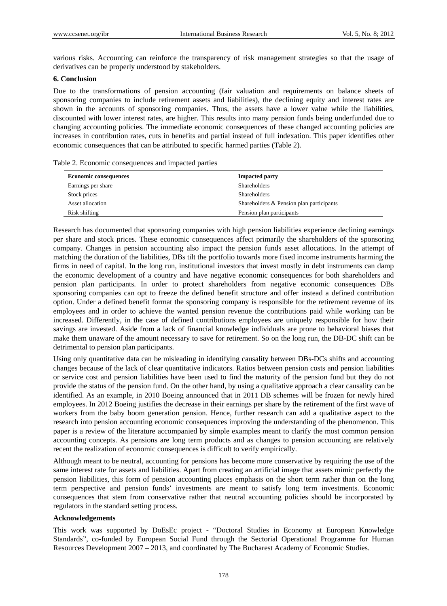various risks. Accounting can reinforce the transparency of risk management strategies so that the usage of derivatives can be properly understood by stakeholders.

#### **6. Conclusion**

Due to the transformations of pension accounting (fair valuation and requirements on balance sheets of sponsoring companies to include retirement assets and liabilities), the declining equity and interest rates are shown in the accounts of sponsoring companies. Thus, the assets have a lower value while the liabilities, discounted with lower interest rates, are higher. This results into many pension funds being underfunded due to changing accounting policies. The immediate economic consequences of these changed accounting policies are increases in contribution rates, cuts in benefits and partial instead of full indexation. This paper identifies other economic consequences that can be attributed to specific harmed parties (Table 2).

Table 2. Economic consequences and impacted parties

| <b>Economic consequences</b> | <b>Impacted party</b>                    |
|------------------------------|------------------------------------------|
| Earnings per share           | <b>Shareholders</b>                      |
| Stock prices                 | <b>Shareholders</b>                      |
| Asset allocation             | Shareholders & Pension plan participants |
| Risk shifting                | Pension plan participants                |

Research has documented that sponsoring companies with high pension liabilities experience declining earnings per share and stock prices. These economic consequences affect primarily the shareholders of the sponsoring company. Changes in pension accounting also impact the pension funds asset allocations. In the attempt of matching the duration of the liabilities, DBs tilt the portfolio towards more fixed income instruments harming the firms in need of capital. In the long run, institutional investors that invest mostly in debt instruments can damp the economic development of a country and have negative economic consequences for both shareholders and pension plan participants. In order to protect shareholders from negative economic consequences DBs sponsoring companies can opt to freeze the defined benefit structure and offer instead a defined contribution option. Under a defined benefit format the sponsoring company is responsible for the retirement revenue of its employees and in order to achieve the wanted pension revenue the contributions paid while working can be increased. Differently, in the case of defined contributions employees are uniquely responsible for how their savings are invested. Aside from a lack of financial knowledge individuals are prone to behavioral biases that make them unaware of the amount necessary to save for retirement. So on the long run, the DB-DC shift can be detrimental to pension plan participants.

Using only quantitative data can be misleading in identifying causality between DBs-DCs shifts and accounting changes because of the lack of clear quantitative indicators. Ratios between pension costs and pension liabilities or service cost and pension liabilities have been used to find the maturity of the pension fund but they do not provide the status of the pension fund. On the other hand, by using a qualitative approach a clear causality can be identified. As an example, in 2010 Boeing announced that in 2011 DB schemes will be frozen for newly hired employees. In 2012 Boeing justifies the decrease in their earnings per share by the retirement of the first wave of workers from the baby boom generation pension. Hence, further research can add a qualitative aspect to the research into pension accounting economic consequences improving the understanding of the phenomenon. This paper is a review of the literature accompanied by simple examples meant to clarify the most common pension accounting concepts. As pensions are long term products and as changes to pension accounting are relatively recent the realization of economic consequences is difficult to verify empirically.

Although meant to be neutral, accounting for pensions has become more conservative by requiring the use of the same interest rate for assets and liabilities. Apart from creating an artificial image that assets mimic perfectly the pension liabilities, this form of pension accounting places emphasis on the short term rather than on the long term perspective and pension funds' investments are meant to satisfy long term investments. Economic consequences that stem from conservative rather that neutral accounting policies should be incorporated by regulators in the standard setting process.

#### **Acknowledgements**

This work was supported by DoEsEc project - "Doctoral Studies in Economy at European Knowledge Standards", co-funded by European Social Fund through the Sectorial Operational Programme for Human Resources Development 2007 – 2013, and coordinated by The Bucharest Academy of Economic Studies.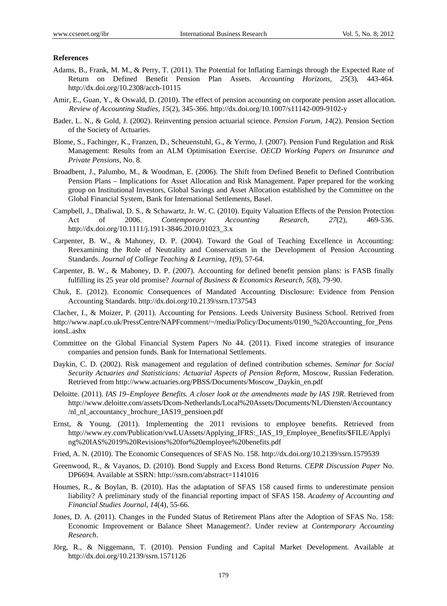#### **References**

- Adams, B., Frank, M. M., & Perry, T. (2011). The Potential for Inflating Earnings through the Expected Rate of Return on Defined Benefit Pension Plan Assets. *Accounting Horizons, 25*(3), 443-464. http://dx.doi.org/10.2308/acch-10115
- Amir, E., Guan, Y., & Oswald, D. (2010). The effect of pension accounting on corporate pension asset allocation. *Review of Accounting Studies, 15*(2), 345-366. http://dx.doi.org/10.1007/s11142-009-9102-y
- Bader, L. N., & Gold, J. (2002). Reinventing pension actuarial science. *Pension Forum, 14*(2). Pension Section of the Society of Actuaries.
- Blome, S., Fachinger, K., Franzen, D., Scheuenstuhl, G., & Yermo, J. (2007). Pension Fund Regulation and Risk Management: Results from an ALM Optimisation Exercise. *OECD Working Papers on Insurance and Private Pensions*, No. 8.
- Broadbent, J., Palumbo, M., & Woodman, E. (2006). The Shift from Defined Benefit to Defined Contribution Pension Plans – Implications for Asset Allocation and Risk Management. Paper prepared for the working group on Institutional Investors, Global Savings and Asset Allocation established by the Committee on the Global Financial System, Bank for International Settlements, Basel.
- Campbell, J., Dhaliwal, D. S., & Schawartz, Jr. W. C. (2010). Equity Valuation Effects of the Pension Protection Act of 2006. *Contemporary Accounting Research, 27*(2), 469-536. http://dx.doi.org/10.1111/j.1911-3846.2010.01023\_3.x
- Carpenter, B. W., & Mahoney, D. P. (2004). Toward the Goal of Teaching Excellence in Accounting: Reexamining the Role of Neutrality and Conservatism in the Development of Pension Accounting Standards. *Journal of College Teaching & Learning, 1*(9), 57-64.
- Carpenter, B. W., & Mahoney, D. P. (2007). Accounting for defined benefit pension plans: is FASB finally fulfilling its 25 year old promise? *Journal of Business & Economics Research, 5*(8), 79-90.
- Chuk, E. (2012). Economic Consequences of Mandated Accounting Disclosure: Evidence from Pension Accounting Standards. http://dx.doi.org/10.2139/ssrn.1737543

Clacher, I., & Moizer, P. (2011). Accounting for Pensions. Leeds University Business School. Retrived from http://www.napf.co.uk/PressCentre/NAPFcomment/~/media/Policy/Documents/0190\_%20Accounting\_for\_Pens ionsL.ashx

- Committee on the Global Financial System Papers No 44. (2011). Fixed income strategies of insurance companies and pension funds. Bank for International Settlements.
- Daykin, C. D. (2002). Risk management and regulation of defined contribution schemes. *Seminar for Social Security Actuaries and Statisticians: Actuarial Aspects of Pension Reform*, Moscow, Russian Federation. Retrieved from http://www.actuaries.org/PBSS/Documents/Moscow\_Daykin\_en.pdf
- Deloitte. (2011). *IAS 19–Employee Benefits. A closer look at the amendments made by IAS 19R*. Retrieved from http://www.deloitte.com/assets/Dcom-Netherlands/Local%20Assets/Documents/NL/Diensten/Accountancy /nl\_nl\_accountancy\_brochure\_IAS19\_pensioen.pdf
- Ernst, & Young. (2011). Implementing the 2011 revisions to employee benefits. Retrieved from http://www.ey.com/Publication/vwLUAssets/Applying\_IFRS:\_IAS\_19\_Employee\_Benefits/\$FILE/Applyi ng%20IAS%2019%20Revisions%20for%20employee%20benefits.pdf
- Fried, A. N. (2010). The Economic Consequences of SFAS No. 158. http://dx.doi.org/10.2139/ssrn.1579539
- Greenwood, R., & Vayanos, D. (2010). Bond Supply and Excess Bond Returns. *CEPR Discussion Paper* No. DP6694. Available at SSRN: http://ssrn.com/abstract=1141016
- Houmes, R., & Boylan, B. (2010). Has the adaptation of SFAS 158 caused firms to underestimate pension liability? A preliminary study of the financial reporting impact of SFAS 158. *Academy of Accounting and Financial Studies Journal, 14*(4), 55-66.
- Jones, D. A. (2011). Changes in the Funded Status of Retirement Plans after the Adoption of SFAS No. 158: Economic Improvement or Balance Sheet Management?. Under review at *Contemporary Accounting Research*.
- Jörg, R., & Niggemann, T. (2010). Pension Funding and Capital Market Development. Available at http://dx.doi.org/10.2139/ssrn.1571126